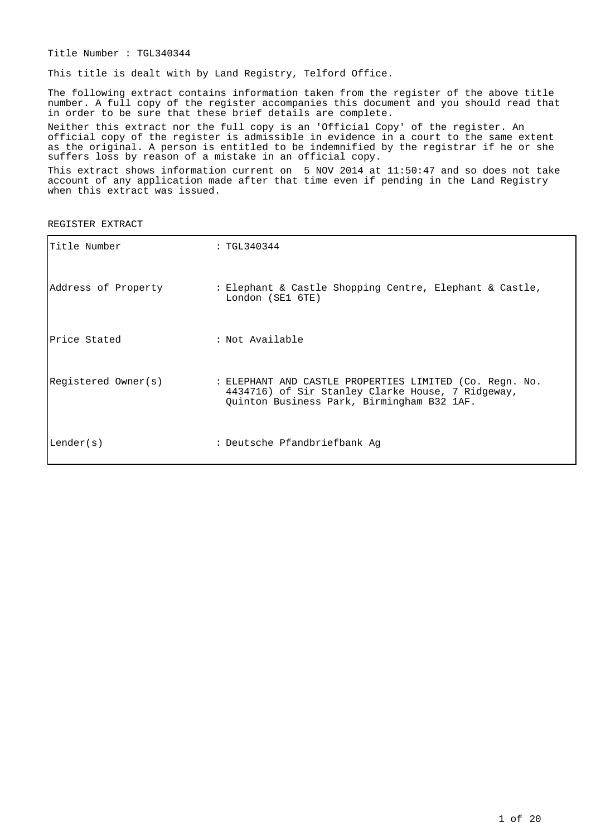Title Number : TGL340344

This title is dealt with by Land Registry, Telford Office.

The following extract contains information taken from the register of the above title number. A full copy of the register accompanies this document and you should read that in order to be sure that these brief details are complete.

Neither this extract nor the full copy is an 'Official Copy' of the register. An official copy of the register is admissible in evidence in a court to the same extent as the original. A person is entitled to be indemnified by the registrar if he or she suffers loss by reason of a mistake in an official copy.

This extract shows information current on 5 NOV 2014 at 11:50:47 and so does not take account of any application made after that time even if pending in the Land Registry when this extract was issued.

REGISTER EXTRACT

| Title Number        | : TGL340344                                                                                                                                                |
|---------------------|------------------------------------------------------------------------------------------------------------------------------------------------------------|
| Address of Property | : Elephant & Castle Shopping Centre, Elephant & Castle,<br>London (SE1 6TE)                                                                                |
| Price Stated        | : Not Available                                                                                                                                            |
| Registered Owner(s) | : ELEPHANT AND CASTLE PROPERTIES LIMITED (Co. Regn. No.<br>4434716) of Sir Stanley Clarke House, 7 Ridgeway,<br>Quinton Business Park, Birmingham B32 1AF. |
| Lender(s)           | : Deutsche Pfandbriefbank Aq                                                                                                                               |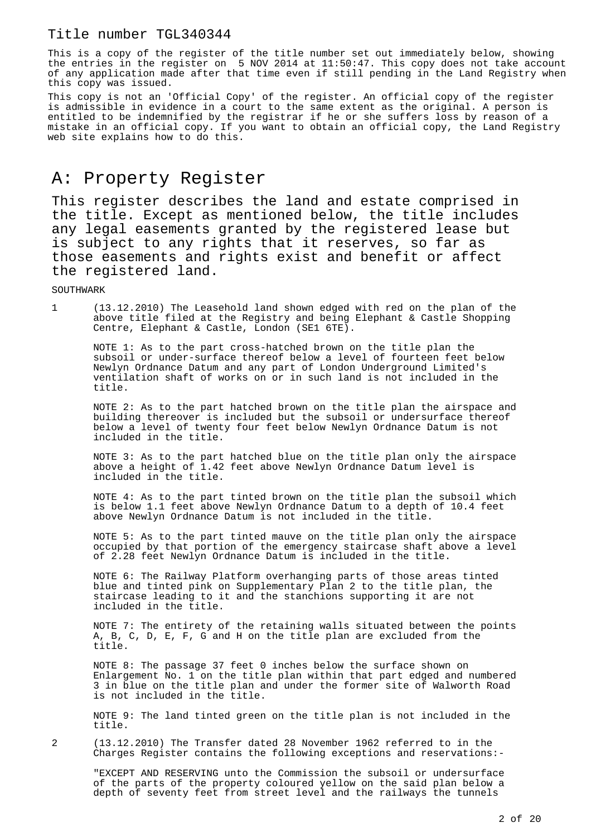This is a copy of the register of the title number set out immediately below, showing the entries in the register on 5 NOV 2014 at 11:50:47. This copy does not take account of any application made after that time even if still pending in the Land Registry when this copy was issued.

This copy is not an 'Official Copy' of the register. An official copy of the register is admissible in evidence in a court to the same extent as the original. A person is entitled to be indemnified by the registrar if he or she suffers loss by reason of a mistake in an official copy. If you want to obtain an official copy, the Land Registry web site explains how to do this.

# A: Property Register

This register describes the land and estate comprised in the title. Except as mentioned below, the title includes any legal easements granted by the registered lease but is subject to any rights that it reserves, so far as those easements and rights exist and benefit or affect the registered land.

SOUTHWARK

1 (13.12.2010) The Leasehold land shown edged with red on the plan of the above title filed at the Registry and being Elephant & Castle Shopping Centre, Elephant & Castle, London (SE1 6TE).

NOTE 1: As to the part cross-hatched brown on the title plan the subsoil or under-surface thereof below a level of fourteen feet below Newlyn Ordnance Datum and any part of London Underground Limited's ventilation shaft of works on or in such land is not included in the title.

NOTE 2: As to the part hatched brown on the title plan the airspace and building thereover is included but the subsoil or undersurface thereof below a level of twenty four feet below Newlyn Ordnance Datum is not included in the title.

NOTE 3: As to the part hatched blue on the title plan only the airspace above a height of 1.42 feet above Newlyn Ordnance Datum level is included in the title.

NOTE 4: As to the part tinted brown on the title plan the subsoil which is below 1.1 feet above Newlyn Ordnance Datum to a depth of 10.4 feet above Newlyn Ordnance Datum is not included in the title.

NOTE 5: As to the part tinted mauve on the title plan only the airspace occupied by that portion of the emergency staircase shaft above a level of 2.28 feet Newlyn Ordnance Datum is included in the title.

NOTE 6: The Railway Platform overhanging parts of those areas tinted blue and tinted pink on Supplementary Plan 2 to the title plan, the staircase leading to it and the stanchions supporting it are not included in the title.

NOTE 7: The entirety of the retaining walls situated between the points A, B, C, D, E, F, G and H on the title plan are excluded from the title.

NOTE 8: The passage 37 feet 0 inches below the surface shown on Enlargement No. 1 on the title plan within that part edged and numbered 3 in blue on the title plan and under the former site of Walworth Road is not included in the title.

NOTE 9: The land tinted green on the title plan is not included in the title.

2 (13.12.2010) The Transfer dated 28 November 1962 referred to in the Charges Register contains the following exceptions and reservations:-

"EXCEPT AND RESERVING unto the Commission the subsoil or undersurface of the parts of the property coloured yellow on the said plan below a depth of seventy feet from street level and the railways the tunnels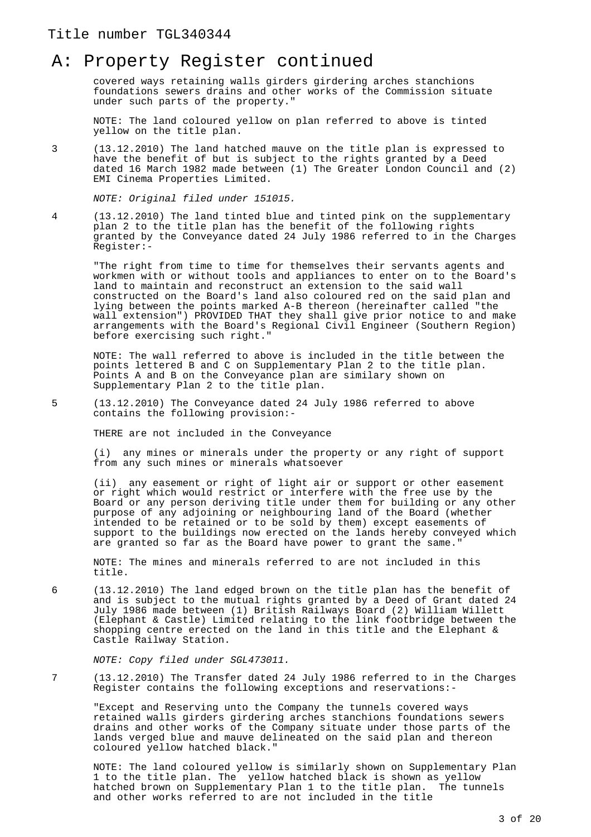### A: Property Register continued

covered ways retaining walls girders girdering arches stanchions foundations sewers drains and other works of the Commission situate under such parts of the property."

NOTE: The land coloured yellow on plan referred to above is tinted yellow on the title plan.

3 (13.12.2010) The land hatched mauve on the title plan is expressed to have the benefit of but is subject to the rights granted by a Deed dated 16 March 1982 made between (1) The Greater London Council and (2) EMI Cinema Properties Limited.

NOTE: Original filed under 151015.

4 (13.12.2010) The land tinted blue and tinted pink on the supplementary plan 2 to the title plan has the benefit of the following rights granted by the Conveyance dated 24 July 1986 referred to in the Charges Register:-

"The right from time to time for themselves their servants agents and workmen with or without tools and appliances to enter on to the Board's land to maintain and reconstruct an extension to the said wall constructed on the Board's land also coloured red on the said plan and lying between the points marked A-B thereon (hereinafter called "the wall extension") PROVIDED THAT they shall give prior notice to and make arrangements with the Board's Regional Civil Engineer (Southern Region) before exercising such right."

NOTE: The wall referred to above is included in the title between the points lettered B and C on Supplementary Plan 2 to the title plan. Points A and B on the Conveyance plan are similary shown on Supplementary Plan 2 to the title plan.

5 (13.12.2010) The Conveyance dated 24 July 1986 referred to above contains the following provision:-

THERE are not included in the Conveyance

(i) any mines or minerals under the property or any right of support from any such mines or minerals whatsoever

(ii) any easement or right of light air or support or other easement or right which would restrict or interfere with the free use by the Board or any person deriving title under them for building or any other purpose of any adjoining or neighbouring land of the Board (whether intended to be retained or to be sold by them) except easements of support to the buildings now erected on the lands hereby conveyed which are granted so far as the Board have power to grant the same."

NOTE: The mines and minerals referred to are not included in this title.

6 (13.12.2010) The land edged brown on the title plan has the benefit of and is subject to the mutual rights granted by a Deed of Grant dated 24 July 1986 made between (1) British Railways Board (2) William Willett (Elephant & Castle) Limited relating to the link footbridge between the shopping centre erected on the land in this title and the Elephant & Castle Railway Station.

NOTE: Copy filed under SGL473011.

7 (13.12.2010) The Transfer dated 24 July 1986 referred to in the Charges Register contains the following exceptions and reservations:-

"Except and Reserving unto the Company the tunnels covered ways retained walls girders girdering arches stanchions foundations sewers drains and other works of the Company situate under those parts of the lands verged blue and mauve delineated on the said plan and thereon coloured yellow hatched black."

NOTE: The land coloured yellow is similarly shown on Supplementary Plan 1 to the title plan. The yellow hatched black is shown as yellow hatched brown on Supplementary Plan 1 to the title plan. The tunnels and other works referred to are not included in the title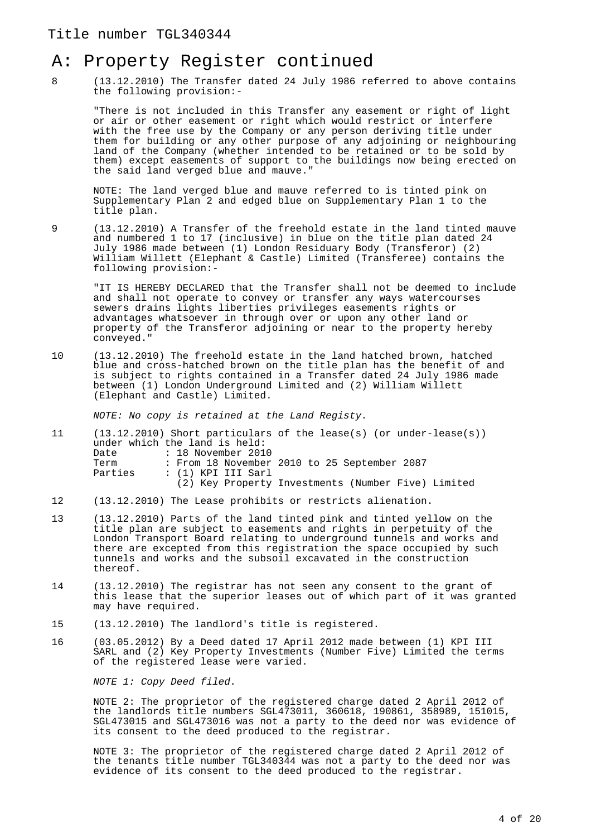## A: Property Register continued

8 (13.12.2010) The Transfer dated 24 July 1986 referred to above contains the following provision:-

"There is not included in this Transfer any easement or right of light or air or other easement or right which would restrict or interfere with the free use by the Company or any person deriving title under them for building or any other purpose of any adjoining or neighbouring land of the Company (whether intended to be retained or to be sold by them) except easements of support to the buildings now being erected on the said land verged blue and mauve."

NOTE: The land verged blue and mauve referred to is tinted pink on Supplementary Plan 2 and edged blue on Supplementary Plan 1 to the title plan.

9 (13.12.2010) A Transfer of the freehold estate in the land tinted mauve and numbered 1 to 17 (inclusive) in blue on the title plan dated 24 July 1986 made between (1) London Residuary Body (Transferor) (2) William Willett (Elephant & Castle) Limited (Transferee) contains the following provision:-

"IT IS HEREBY DECLARED that the Transfer shall not be deemed to include and shall not operate to convey or transfer any ways watercourses sewers drains lights liberties privileges easements rights or advantages whatsoever in through over or upon any other land or property of the Transferor adjoining or near to the property hereby conveyed."

10 (13.12.2010) The freehold estate in the land hatched brown, hatched blue and cross-hatched brown on the title plan has the benefit of and is subject to rights contained in a Transfer dated 24 July 1986 made between (1) London Underground Limited and (2) William Willett (Elephant and Castle) Limited.

NOTE: No copy is retained at the Land Registy.

|         | $(13.12.2010)$ Short particulars of the lease(s) (or under-lease(s)) |
|---------|----------------------------------------------------------------------|
|         | under which the land is held:                                        |
| Date    | : 18 November 2010                                                   |
| Term    | : From 18 November 2010 to 25 September 2087                         |
| Parties | : (1) KPI III Sarl                                                   |
|         | (2) Key Property Investments (Number Five) Limited                   |
|         |                                                                      |

- 12 (13.12.2010) The Lease prohibits or restricts alienation.
- 13 (13.12.2010) Parts of the land tinted pink and tinted yellow on the title plan are subject to easements and rights in perpetuity of the London Transport Board relating to underground tunnels and works and there are excepted from this registration the space occupied by such tunnels and works and the subsoil excavated in the construction thereof.
- 14 (13.12.2010) The registrar has not seen any consent to the grant of this lease that the superior leases out of which part of it was granted may have required.
- 15 (13.12.2010) The landlord's title is registered.
- 16 (03.05.2012) By a Deed dated 17 April 2012 made between (1) KPI III SARL and (2) Key Property Investments (Number Five) Limited the terms of the registered lease were varied.

NOTE 1: Copy Deed filed.

NOTE 2: The proprietor of the registered charge dated 2 April 2012 of the landlords title numbers SGL473011, 360618, 190861, 358989, 151015, SGL473015 and SGL473016 was not a party to the deed nor was evidence of its consent to the deed produced to the registrar.

NOTE 3: The proprietor of the registered charge dated 2 April 2012 of the tenants title number TGL340344 was not a party to the deed nor was evidence of its consent to the deed produced to the registrar.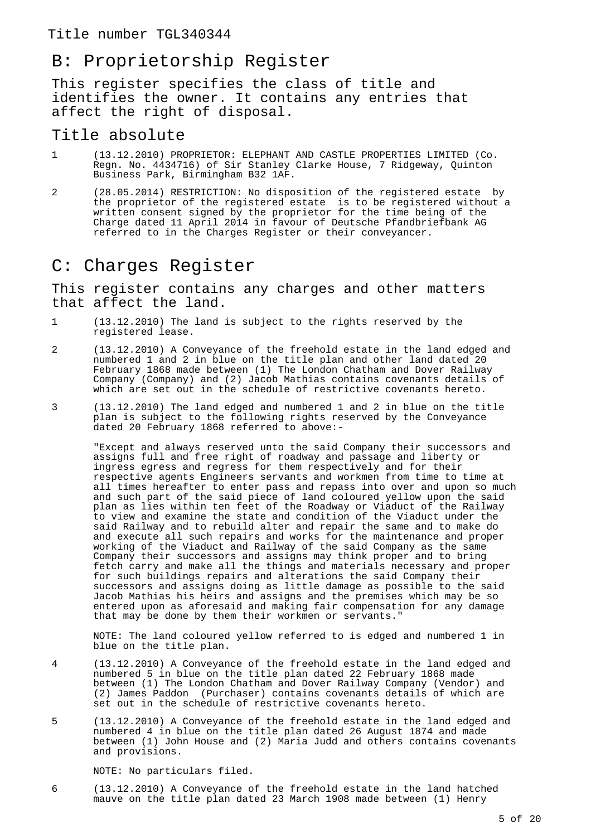## B: Proprietorship Register

This register specifies the class of title and identifies the owner. It contains any entries that affect the right of disposal.

#### Title absolute

- 1 (13.12.2010) PROPRIETOR: ELEPHANT AND CASTLE PROPERTIES LIMITED (Co. Regn. No. 4434716) of Sir Stanley Clarke House, 7 Ridgeway, Quinton Business Park, Birmingham B32 1AF.
- 2 (28.05.2014) RESTRICTION: No disposition of the registered estate by the proprietor of the registered estate is to be registered without a written consent signed by the proprietor for the time being of the Charge dated 11 April 2014 in favour of Deutsche Pfandbriefbank AG referred to in the Charges Register or their conveyancer.

### C: Charges Register

This register contains any charges and other matters that affect the land.

- 1 (13.12.2010) The land is subject to the rights reserved by the registered lease.
- 2 (13.12.2010) A Conveyance of the freehold estate in the land edged and numbered 1 and 2 in blue on the title plan and other land dated 20 February 1868 made between (1) The London Chatham and Dover Railway Company (Company) and (2) Jacob Mathias contains covenants details of which are set out in the schedule of restrictive covenants hereto.
- 3 (13.12.2010) The land edged and numbered 1 and 2 in blue on the title plan is subject to the following rights reserved by the Conveyance dated 20 February 1868 referred to above:-

"Except and always reserved unto the said Company their successors and assigns full and free right of roadway and passage and liberty or ingress egress and regress for them respectively and for their respective agents Engineers servants and workmen from time to time at all times hereafter to enter pass and repass into over and upon so much and such part of the said piece of land coloured yellow upon the said plan as lies within ten feet of the Roadway or Viaduct of the Railway to view and examine the state and condition of the Viaduct under the said Railway and to rebuild alter and repair the same and to make do and execute all such repairs and works for the maintenance and proper working of the Viaduct and Railway of the said Company as the same Company their successors and assigns may think proper and to bring fetch carry and make all the things and materials necessary and proper for such buildings repairs and alterations the said Company their successors and assigns doing as little damage as possible to the said Jacob Mathias his heirs and assigns and the premises which may be so entered upon as aforesaid and making fair compensation for any damage that may be done by them their workmen or servants."

NOTE: The land coloured yellow referred to is edged and numbered 1 in blue on the title plan.

- 4 (13.12.2010) A Conveyance of the freehold estate in the land edged and numbered 5 in blue on the title plan dated 22 February 1868 made between (1) The London Chatham and Dover Railway Company (Vendor) and (2) James Paddon (Purchaser) contains covenants details of which are set out in the schedule of restrictive covenants hereto.
- 5 (13.12.2010) A Conveyance of the freehold estate in the land edged and numbered 4 in blue on the title plan dated 26 August 1874 and made between (1) John House and (2) Maria Judd and others contains covenants and provisions.

NOTE: No particulars filed.

6 (13.12.2010) A Conveyance of the freehold estate in the land hatched mauve on the title plan dated 23 March 1908 made between (1) Henry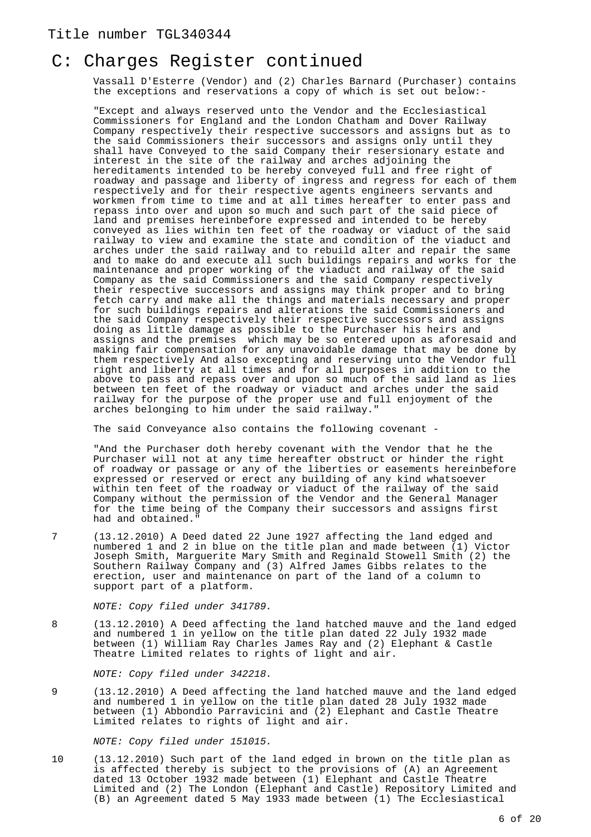### C: Charges Register continued

Vassall D'Esterre (Vendor) and (2) Charles Barnard (Purchaser) contains the exceptions and reservations a copy of which is set out below:-

"Except and always reserved unto the Vendor and the Ecclesiastical Commissioners for England and the London Chatham and Dover Railway Company respectively their respective successors and assigns but as to the said Commissioners their successors and assigns only until they shall have Conveyed to the said Company their resersionary estate and interest in the site of the railway and arches adjoining the hereditaments intended to be hereby conveyed full and free right of roadway and passage and liberty of ingress and regress for each of them respectively and for their respective agents engineers servants and workmen from time to time and at all times hereafter to enter pass and repass into over and upon so much and such part of the said piece of land and premises hereinbefore expressed and intended to be hereby conveyed as lies within ten feet of the roadway or viaduct of the said railway to view and examine the state and condition of the viaduct and arches under the said railway and to rebuild alter and repair the same and to make do and execute all such buildings repairs and works for the maintenance and proper working of the viaduct and railway of the said Company as the said Commissioners and the said Company respectively their respective successors and assigns may think proper and to bring fetch carry and make all the things and materials necessary and proper for such buildings repairs and alterations the said Commissioners and the said Company respectively their respective successors and assigns doing as little damage as possible to the Purchaser his heirs and assigns and the premises which may be so entered upon as aforesaid and making fair compensation for any unavoidable damage that may be done by them respectively And also excepting and reserving unto the Vendor full right and liberty at all times and for all purposes in addition to the above to pass and repass over and upon so much of the said land as lies between ten feet of the roadway or viaduct and arches under the said railway for the purpose of the proper use and full enjoyment of the arches belonging to him under the said railway."

The said Conveyance also contains the following covenant -

"And the Purchaser doth hereby covenant with the Vendor that he the Purchaser will not at any time hereafter obstruct or hinder the right of roadway or passage or any of the liberties or easements hereinbefore expressed or reserved or erect any building of any kind whatsoever within ten feet of the roadway or viaduct of the railway of the said Company without the permission of the Vendor and the General Manager for the time being of the Company their successors and assigns first had and obtained."

7 (13.12.2010) A Deed dated 22 June 1927 affecting the land edged and numbered 1 and 2 in blue on the title plan and made between (1) Victor Joseph Smith, Marguerite Mary Smith and Reginald Stowell Smith (2) the Southern Railway Company and (3) Alfred James Gibbs relates to the erection, user and maintenance on part of the land of a column to support part of a platform.

NOTE: Copy filed under 341789.

8 (13.12.2010) A Deed affecting the land hatched mauve and the land edged and numbered 1 in yellow on the title plan dated 22 July 1932 made between (1) William Ray Charles James Ray and (2) Elephant & Castle Theatre Limited relates to rights of light and air.

NOTE: Copy filed under 342218.

9 (13.12.2010) A Deed affecting the land hatched mauve and the land edged and numbered 1 in yellow on the title plan dated 28 July 1932 made between (1) Abbondio Parravicini and (2) Elephant and Castle Theatre Limited relates to rights of light and air.

NOTE: Copy filed under 151015.

10 (13.12.2010) Such part of the land edged in brown on the title plan as is affected thereby is subject to the provisions of (A) an Agreement dated 13 October 1932 made between (1) Elephant and Castle Theatre Limited and (2) The London (Elephant and Castle) Repository Limited and (B) an Agreement dated 5 May 1933 made between (1) The Ecclesiastical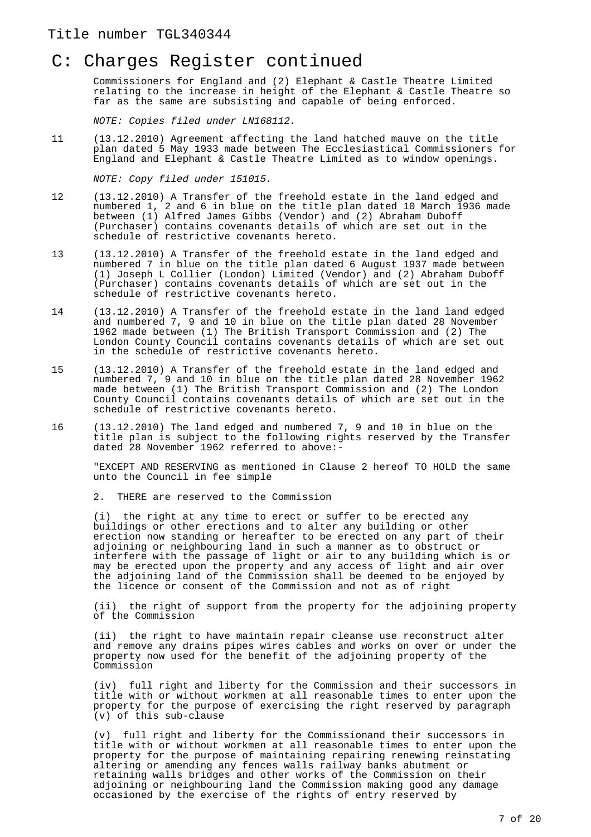Commissioners for England and (2) Elephant & Castle Theatre Limited relating to the increase in height of the Elephant & Castle Theatre so far as the same are subsisting and capable of being enforced.

NOTE: Copies filed under LN168112.

11 (13.12.2010) Agreement affecting the land hatched mauve on the title plan dated 5 May 1933 made between The Ecclesiastical Commissioners for England and Elephant & Castle Theatre Limited as to window openings.

NOTE: Copy filed under 151015.

- 12 (13.12.2010) A Transfer of the freehold estate in the land edged and numbered 1, 2 and 6 in blue on the title plan dated 10 March 1936 made between (1) Alfred James Gibbs (Vendor) and (2) Abraham Duboff (Purchaser) contains covenants details of which are set out in the schedule of restrictive covenants hereto.
- 13 (13.12.2010) A Transfer of the freehold estate in the land edged and numbered 7 in blue on the title plan dated 6 August 1937 made between (1) Joseph L Collier (London) Limited (Vendor) and (2) Abraham Duboff (Purchaser) contains covenants details of which are set out in the schedule of restrictive covenants hereto.
- 14 (13.12.2010) A Transfer of the freehold estate in the land land edged and numbered 7, 9 and 10 in blue on the title plan dated 28 November 1962 made between (1) The British Transport Commission and (2) The London County Council contains covenants details of which are set out in the schedule of restrictive covenants hereto.
- 15 (13.12.2010) A Transfer of the freehold estate in the land edged and numbered 7, 9 and 10 in blue on the title plan dated 28 November 1962 made between (1) The British Transport Commission and (2) The London County Council contains covenants details of which are set out in the schedule of restrictive covenants hereto.
- 16 (13.12.2010) The land edged and numbered 7, 9 and 10 in blue on the title plan is subject to the following rights reserved by the Transfer dated 28 November 1962 referred to above:-

"EXCEPT AND RESERVING as mentioned in Clause 2 hereof TO HOLD the same unto the Council in fee simple

2. THERE are reserved to the Commission

(i) the right at any time to erect or suffer to be erected any buildings or other erections and to alter any building or other erection now standing or hereafter to be erected on any part of their adjoining or neighbouring land in such a manner as to obstruct or interfere with the passage of light or air to any building which is or may be erected upon the property and any access of light and air over the adjoining land of the Commission shall be deemed to be enjoyed by the licence or consent of the Commission and not as of right

(ii) the right of support from the property for the adjoining property of the Commission

(ii) the right to have maintain repair cleanse use reconstruct alter and remove any drains pipes wires cables and works on over or under the property now used for the benefit of the adjoining property of the Commission

(iv) full right and liberty for the Commission and their successors in title with or without workmen at all reasonable times to enter upon the property for the purpose of exercising the right reserved by paragraph (v) of this sub-clause

(v) full right and liberty for the Commissionand their successors in title with or without workmen at all reasonable times to enter upon the property for the purpose of maintaining repairing renewing reinstating altering or amending any fences walls railway banks abutment or retaining walls bridges and other works of the Commission on their adjoining or neighbouring land the Commission making good any damage occasioned by the exercise of the rights of entry reserved by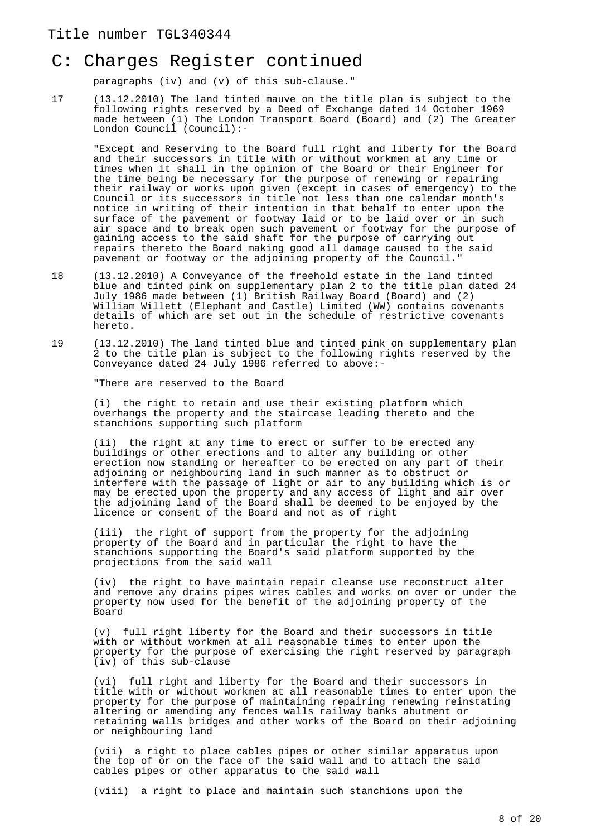### C: Charges Register continued

paragraphs (iv) and (v) of this sub-clause."

17 (13.12.2010) The land tinted mauve on the title plan is subject to the following rights reserved by a Deed of Exchange dated 14 October 1969 made between (1) The London Transport Board (Board) and (2) The Greater London Council (Council):-

"Except and Reserving to the Board full right and liberty for the Board and their successors in title with or without workmen at any time or times when it shall in the opinion of the Board or their Engineer for the time being be necessary for the purpose of renewing or repairing their railway or works upon given (except in cases of emergency) to the Council or its successors in title not less than one calendar month's notice in writing of their intention in that behalf to enter upon the surface of the pavement or footway laid or to be laid over or in such air space and to break open such pavement or footway for the purpose of gaining access to the said shaft for the purpose of carrying out repairs thereto the Board making good all damage caused to the said pavement or footway or the adjoining property of the Council."

- 18 (13.12.2010) A Conveyance of the freehold estate in the land tinted blue and tinted pink on supplementary plan 2 to the title plan dated 24 July 1986 made between (1) British Railway Board (Board) and (2) William Willett (Elephant and Castle) Limited (WW) contains covenants details of which are set out in the schedule of restrictive covenants hereto.
- 19 (13.12.2010) The land tinted blue and tinted pink on supplementary plan 2 to the title plan is subject to the following rights reserved by the Conveyance dated 24 July 1986 referred to above:-

"There are reserved to the Board

(i) the right to retain and use their existing platform which overhangs the property and the staircase leading thereto and the stanchions supporting such platform

(ii) the right at any time to erect or suffer to be erected any buildings or other erections and to alter any building or other erection now standing or hereafter to be erected on any part of their adjoining or neighbouring land in such manner as to obstruct or interfere with the passage of light or air to any building which is or may be erected upon the property and any access of light and air over the adjoining land of the Board shall be deemed to be enjoyed by the licence or consent of the Board and not as of right

(iii) the right of support from the property for the adjoining property of the Board and in particular the right to have the stanchions supporting the Board's said platform supported by the projections from the said wall

(iv) the right to have maintain repair cleanse use reconstruct alter and remove any drains pipes wires cables and works on over or under the property now used for the benefit of the adjoining property of the Board

(v) full right liberty for the Board and their successors in title with or without workmen at all reasonable times to enter upon the property for the purpose of exercising the right reserved by paragraph (iv) of this sub-clause

(vi) full right and liberty for the Board and their successors in title with or without workmen at all reasonable times to enter upon the property for the purpose of maintaining repairing renewing reinstating altering or amending any fences walls railway banks abutment or retaining walls bridges and other works of the Board on their adjoining or neighbouring land

(vii) a right to place cables pipes or other similar apparatus upon the top of or on the face of the said wall and to attach the said cables pipes or other apparatus to the said wall

(viii) a right to place and maintain such stanchions upon the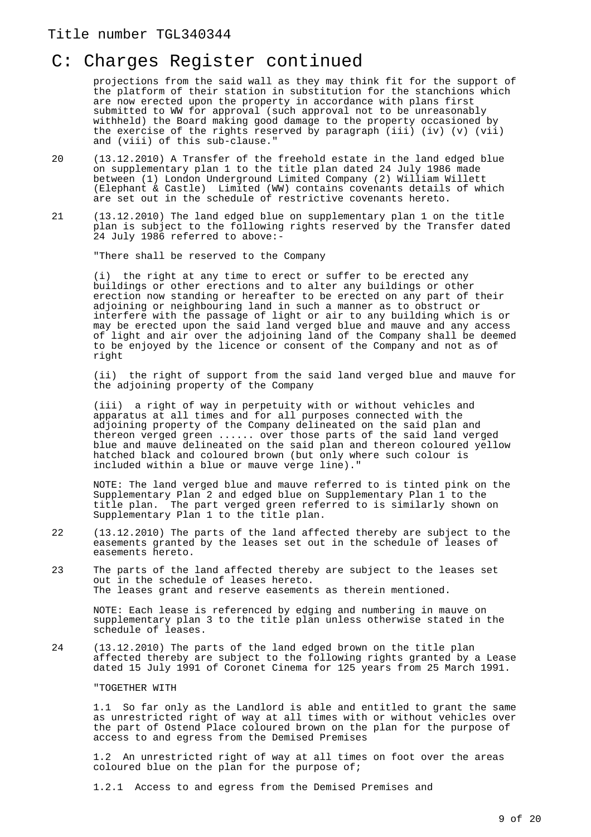projections from the said wall as they may think fit for the support of the platform of their station in substitution for the stanchions which are now erected upon the property in accordance with plans first submitted to WW for approval (such approval not to be unreasonably withheld) the Board making good damage to the property occasioned by the exercise of the rights reserved by paragraph (iii) (iv) (v) (vii) and (viii) of this sub-clause."

- 20 (13.12.2010) A Transfer of the freehold estate in the land edged blue on supplementary plan 1 to the title plan dated 24 July 1986 made between (1) London Underground Limited Company (2) William Willett (Elephant & Castle) Limited (WW) contains covenants details of which are set out in the schedule of restrictive covenants hereto.
- 21 (13.12.2010) The land edged blue on supplementary plan 1 on the title plan is subject to the following rights reserved by the Transfer dated 24 July 1986 referred to above:-

"There shall be reserved to the Company

(i) the right at any time to erect or suffer to be erected any buildings or other erections and to alter any buildings or other erection now standing or hereafter to be erected on any part of their adjoining or neighbouring land in such a manner as to obstruct or interfere with the passage of light or air to any building which is or may be erected upon the said land verged blue and mauve and any access of light and air over the adjoining land of the Company shall be deemed to be enjoyed by the licence or consent of the Company and not as of right

(ii) the right of support from the said land verged blue and mauve for the adjoining property of the Company

(iii) a right of way in perpetuity with or without vehicles and apparatus at all times and for all purposes connected with the adjoining property of the Company delineated on the said plan and thereon verged green ...... over those parts of the said land verged blue and mauve delineated on the said plan and thereon coloured yellow hatched black and coloured brown (but only where such colour is included within a blue or mauve verge line)."

NOTE: The land verged blue and mauve referred to is tinted pink on the Supplementary Plan 2 and edged blue on Supplementary Plan 1 to the title plan. The part verged green referred to is similarly shown on Supplementary Plan 1 to the title plan.

- 22 (13.12.2010) The parts of the land affected thereby are subject to the easements granted by the leases set out in the schedule of leases of easements hereto.
- 23 The parts of the land affected thereby are subject to the leases set out in the schedule of leases hereto. The leases grant and reserve easements as therein mentioned.

NOTE: Each lease is referenced by edging and numbering in mauve on supplementary plan 3 to the title plan unless otherwise stated in the schedule of leases.

24 (13.12.2010) The parts of the land edged brown on the title plan affected thereby are subject to the following rights granted by a Lease dated 15 July 1991 of Coronet Cinema for 125 years from 25 March 1991.

"TOGETHER WITH

1.1 So far only as the Landlord is able and entitled to grant the same as unrestricted right of way at all times with or without vehicles over the part of Ostend Place coloured brown on the plan for the purpose of access to and egress from the Demised Premises

1.2 An unrestricted right of way at all times on foot over the areas coloured blue on the plan for the purpose of;

1.2.1 Access to and egress from the Demised Premises and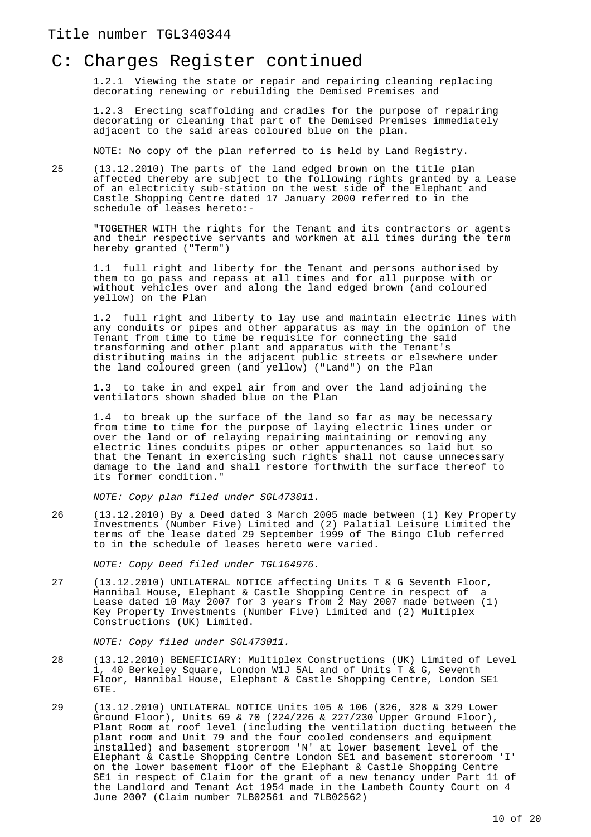1.2.1 Viewing the state or repair and repairing cleaning replacing decorating renewing or rebuilding the Demised Premises and

1.2.3 Erecting scaffolding and cradles for the purpose of repairing decorating or cleaning that part of the Demised Premises immediately adjacent to the said areas coloured blue on the plan.

NOTE: No copy of the plan referred to is held by Land Registry.

25 (13.12.2010) The parts of the land edged brown on the title plan affected thereby are subject to the following rights granted by a Lease of an electricity sub-station on the west side of the Elephant and Castle Shopping Centre dated 17 January 2000 referred to in the schedule of leases hereto:-

"TOGETHER WITH the rights for the Tenant and its contractors or agents and their respective servants and workmen at all times during the term hereby granted ("Term")

1.1 full right and liberty for the Tenant and persons authorised by them to go pass and repass at all times and for all purpose with or without vehicles over and along the land edged brown (and coloured yellow) on the Plan

1.2 full right and liberty to lay use and maintain electric lines with any conduits or pipes and other apparatus as may in the opinion of the Tenant from time to time be requisite for connecting the said transforming and other plant and apparatus with the Tenant's distributing mains in the adjacent public streets or elsewhere under the land coloured green (and yellow) ("Land") on the Plan

1.3 to take in and expel air from and over the land adjoining the ventilators shown shaded blue on the Plan

1.4 to break up the surface of the land so far as may be necessary from time to time for the purpose of laying electric lines under or over the land or of relaying repairing maintaining or removing any electric lines conduits pipes or other appurtenances so laid but so that the Tenant in exercising such rights shall not cause unnecessary damage to the land and shall restore forthwith the surface thereof to its former condition."

NOTE: Copy plan filed under SGL473011.

26 (13.12.2010) By a Deed dated 3 March 2005 made between (1) Key Property Investments (Number Five) Limited and (2) Palatial Leisure Limited the terms of the lease dated 29 September 1999 of The Bingo Club referred to in the schedule of leases hereto were varied.

NOTE: Copy Deed filed under TGL164976.

27 (13.12.2010) UNILATERAL NOTICE affecting Units T & G Seventh Floor, Hannibal House, Elephant & Castle Shopping Centre in respect of a Lease dated 10 May 2007 for 3 years from 2 May 2007 made between (1) Key Property Investments (Number Five) Limited and (2) Multiplex Constructions (UK) Limited.

NOTE: Copy filed under SGL473011.

- 28 (13.12.2010) BENEFICIARY: Multiplex Constructions (UK) Limited of Level 1, 40 Berkeley Square, London W1J 5AL and of Units T & G, Seventh Floor, Hannibal House, Elephant & Castle Shopping Centre, London SE1  $6$ TE.
- 29 (13.12.2010) UNILATERAL NOTICE Units 105 & 106 (326, 328 & 329 Lower Ground Floor), Units 69 & 70 (224/226 & 227/230 Upper Ground Floor), Plant Room at roof level (including the ventilation ducting between the plant room and Unit 79 and the four cooled condensers and equipment installed) and basement storeroom 'N' at lower basement level of the Elephant & Castle Shopping Centre London SE1 and basement storeroom 'I' on the lower basement floor of the Elephant & Castle Shopping Centre SE1 in respect of Claim for the grant of a new tenancy under Part 11 of the Landlord and Tenant Act 1954 made in the Lambeth County Court on 4 June 2007 (Claim number 7LB02561 and 7LB02562)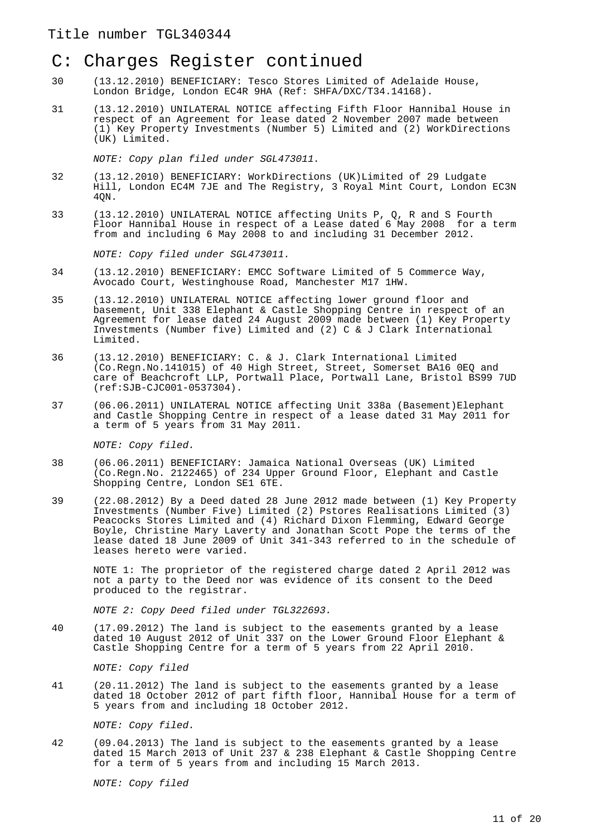### C: Charges Register continued

- 30 (13.12.2010) BENEFICIARY: Tesco Stores Limited of Adelaide House, London Bridge, London EC4R 9HA (Ref: SHFA/DXC/T34.14168).
- 31 (13.12.2010) UNILATERAL NOTICE affecting Fifth Floor Hannibal House in respect of an Agreement for lease dated 2 November 2007 made between (1) Key Property Investments (Number 5) Limited and (2) WorkDirections (UK) Limited.

NOTE: Copy plan filed under SGL473011.

- 32 (13.12.2010) BENEFICIARY: WorkDirections (UK)Limited of 29 Ludgate Hill, London EC4M 7JE and The Registry, 3 Royal Mint Court, London EC3N 4QN.
- 33 (13.12.2010) UNILATERAL NOTICE affecting Units P, Q, R and S Fourth Floor Hannibal House in respect of a Lease dated 6 May 2008 for a term from and including 6 May 2008 to and including 31 December 2012.

NOTE: Copy filed under SGL473011.

- 34 (13.12.2010) BENEFICIARY: EMCC Software Limited of 5 Commerce Way, Avocado Court, Westinghouse Road, Manchester M17 1HW.
- 35 (13.12.2010) UNILATERAL NOTICE affecting lower ground floor and basement, Unit 338 Elephant & Castle Shopping Centre in respect of an Agreement for lease dated 24 August 2009 made between (1) Key Property Investments (Number five) Limited and (2) C & J Clark International Limited.
- 36 (13.12.2010) BENEFICIARY: C. & J. Clark International Limited (Co.Regn.No.141015) of 40 High Street, Street, Somerset BA16 0EQ and care of Beachcroft LLP, Portwall Place, Portwall Lane, Bristol BS99 7UD (ref:SJB-CJC001-0537304).
- 37 (06.06.2011) UNILATERAL NOTICE affecting Unit 338a (Basement)Elephant and Castle Shopping Centre in respect of a lease dated 31 May 2011 for a term of 5 years from 31 May 2011.

NOTE: Copy filed.

- 38 (06.06.2011) BENEFICIARY: Jamaica National Overseas (UK) Limited (Co.Regn.No. 2122465) of 234 Upper Ground Floor, Elephant and Castle Shopping Centre, London SE1 6TE.
- 39 (22.08.2012) By a Deed dated 28 June 2012 made between (1) Key Property Investments (Number Five) Limited (2) Pstores Realisations Limited (3) Peacocks Stores Limited and (4) Richard Dixon Flemming, Edward George Boyle, Christine Mary Laverty and Jonathan Scott Pope the terms of the lease dated 18 June 2009 of Unit 341-343 referred to in the schedule of leases hereto were varied.

NOTE 1: The proprietor of the registered charge dated 2 April 2012 was not a party to the Deed nor was evidence of its consent to the Deed produced to the registrar.

NOTE 2: Copy Deed filed under TGL322693.

40 (17.09.2012) The land is subject to the easements granted by a lease dated 10 August 2012 of Unit 337 on the Lower Ground Floor Elephant & Castle Shopping Centre for a term of 5 years from 22 April 2010.

NOTE: Copy filed

41 (20.11.2012) The land is subject to the easements granted by a lease dated 18 October 2012 of part fifth floor, Hannibal House for a term of 5 years from and including 18 October 2012.

NOTE: Copy filed.

42 (09.04.2013) The land is subject to the easements granted by a lease dated 15 March 2013 of Unit 237 & 238 Elephant & Castle Shopping Centre for a term of 5 years from and including 15 March 2013.

NOTE: Copy filed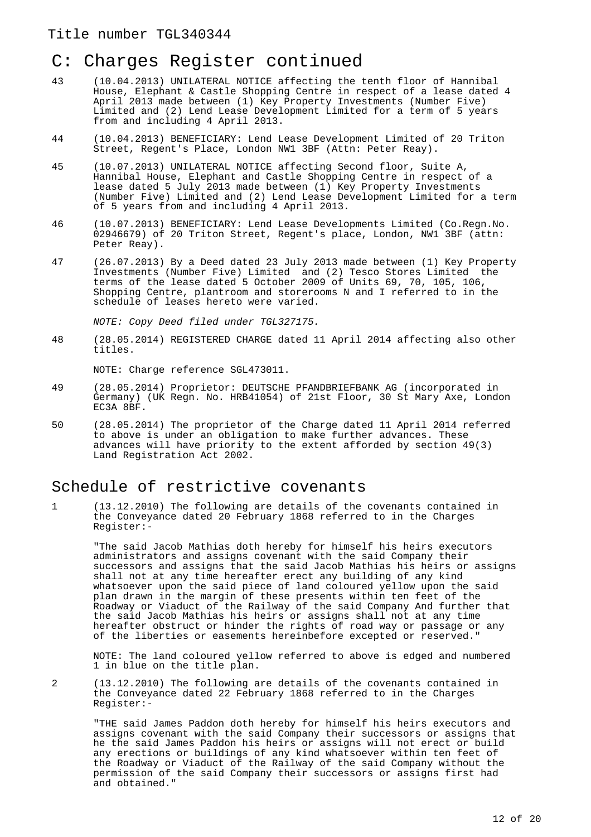- 43 (10.04.2013) UNILATERAL NOTICE affecting the tenth floor of Hannibal House, Elephant & Castle Shopping Centre in respect of a lease dated 4 April 2013 made between (1) Key Property Investments (Number Five) Limited and (2) Lend Lease Development Limited for a term of 5 years from and including 4 April 2013.
- 44 (10.04.2013) BENEFICIARY: Lend Lease Development Limited of 20 Triton Street, Regent's Place, London NW1 3BF (Attn: Peter Reay).
- 45 (10.07.2013) UNILATERAL NOTICE affecting Second floor, Suite A, Hannibal House, Elephant and Castle Shopping Centre in respect of a lease dated 5 July 2013 made between (1) Key Property Investments (Number Five) Limited and (2) Lend Lease Development Limited for a term of 5 years from and including 4 April 2013.
- 46 (10.07.2013) BENEFICIARY: Lend Lease Developments Limited (Co.Regn.No. 02946679) of 20 Triton Street, Regent's place, London, NW1 3BF (attn: Peter Reay).
- 47 (26.07.2013) By a Deed dated 23 July 2013 made between (1) Key Property Investments (Number Five) Limited and (2) Tesco Stores Limited the terms of the lease dated 5 October 2009 of Units 69, 70, 105, 106, Shopping Centre, plantroom and storerooms N and I referred to in the schedule of leases hereto were varied.

NOTE: Copy Deed filed under TGL327175.

48 (28.05.2014) REGISTERED CHARGE dated 11 April 2014 affecting also other titles.

NOTE: Charge reference SGL473011.

- 49 (28.05.2014) Proprietor: DEUTSCHE PFANDBRIEFBANK AG (incorporated in Germany) (UK Regn. No. HRB41054) of 21st Floor, 30 St Mary Axe, London EC3A 8BF.
- 50 (28.05.2014) The proprietor of the Charge dated 11 April 2014 referred to above is under an obligation to make further advances. These advances will have priority to the extent afforded by section 49(3) Land Registration Act 2002.

#### Schedule of restrictive covenants

1 (13.12.2010) The following are details of the covenants contained in the Conveyance dated 20 February 1868 referred to in the Charges Register:-

"The said Jacob Mathias doth hereby for himself his heirs executors administrators and assigns covenant with the said Company their successors and assigns that the said Jacob Mathias his heirs or assigns shall not at any time hereafter erect any building of any kind whatsoever upon the said piece of land coloured yellow upon the said plan drawn in the margin of these presents within ten feet of the Roadway or Viaduct of the Railway of the said Company And further that the said Jacob Mathias his heirs or assigns shall not at any time hereafter obstruct or hinder the rights of road way or passage or any of the liberties or easements hereinbefore excepted or reserved."

NOTE: The land coloured yellow referred to above is edged and numbered 1 in blue on the title plan.

2 (13.12.2010) The following are details of the covenants contained in the Conveyance dated 22 February 1868 referred to in the Charges Register:-

"THE said James Paddon doth hereby for himself his heirs executors and assigns covenant with the said Company their successors or assigns that he the said James Paddon his heirs or assigns will not erect or build any erections or buildings of any kind whatsoever within ten feet of the Roadway or Viaduct of the Railway of the said Company without the permission of the said Company their successors or assigns first had and obtained."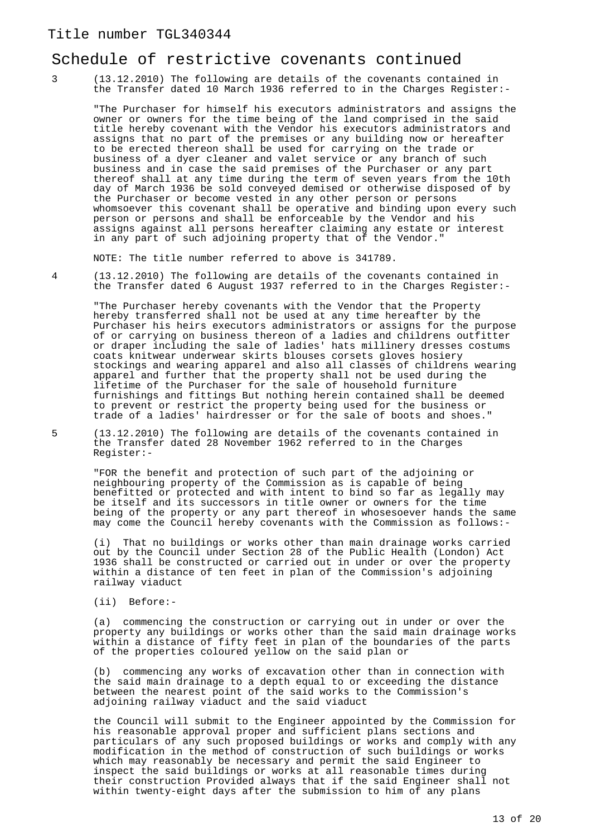#### Schedule of restrictive covenants continued

3 (13.12.2010) The following are details of the covenants contained in the Transfer dated 10 March 1936 referred to in the Charges Register:-

"The Purchaser for himself his executors administrators and assigns the owner or owners for the time being of the land comprised in the said title hereby covenant with the Vendor his executors administrators and assigns that no part of the premises or any building now or hereafter to be erected thereon shall be used for carrying on the trade or business of a dyer cleaner and valet service or any branch of such business and in case the said premises of the Purchaser or any part thereof shall at any time during the term of seven years from the 10th day of March 1936 be sold conveyed demised or otherwise disposed of by the Purchaser or become vested in any other person or persons whomsoever this covenant shall be operative and binding upon every such person or persons and shall be enforceable by the Vendor and his assigns against all persons hereafter claiming any estate or interest in any part of such adjoining property that of the Vendor."

NOTE: The title number referred to above is 341789.

4 (13.12.2010) The following are details of the covenants contained in the Transfer dated 6 August 1937 referred to in the Charges Register:-

"The Purchaser hereby covenants with the Vendor that the Property hereby transferred shall not be used at any time hereafter by the Purchaser his heirs executors administrators or assigns for the purpose of or carrying on business thereon of a ladies and childrens outfitter or draper including the sale of ladies' hats millinery dresses costums coats knitwear underwear skirts blouses corsets gloves hosiery stockings and wearing apparel and also all classes of childrens wearing apparel and further that the property shall not be used during the lifetime of the Purchaser for the sale of household furniture furnishings and fittings But nothing herein contained shall be deemed to prevent or restrict the property being used for the business or trade of a ladies' hairdresser or for the sale of boots and shoes."

5 (13.12.2010) The following are details of the covenants contained in the Transfer dated 28 November 1962 referred to in the Charges Register:-

"FOR the benefit and protection of such part of the adjoining or neighbouring property of the Commission as is capable of being benefitted or protected and with intent to bind so far as legally may be itself and its successors in title owner or owners for the time being of the property or any part thereof in whosesoever hands the same may come the Council hereby covenants with the Commission as follows:-

(i) That no buildings or works other than main drainage works carried out by the Council under Section 28 of the Public Health (London) Act 1936 shall be constructed or carried out in under or over the property within a distance of ten feet in plan of the Commission's adjoining railway viaduct

(ii) Before:-

(a) commencing the construction or carrying out in under or over the property any buildings or works other than the said main drainage works within a distance of fifty feet in plan of the boundaries of the parts of the properties coloured yellow on the said plan or

(b) commencing any works of excavation other than in connection with the said main drainage to a depth equal to or exceeding the distance between the nearest point of the said works to the Commission's adjoining railway viaduct and the said viaduct

the Council will submit to the Engineer appointed by the Commission for his reasonable approval proper and sufficient plans sections and particulars of any such proposed buildings or works and comply with any modification in the method of construction of such buildings or works which may reasonably be necessary and permit the said Engineer to inspect the said buildings or works at all reasonable times during their construction Provided always that if the said Engineer shall not within twenty-eight days after the submission to him of any plans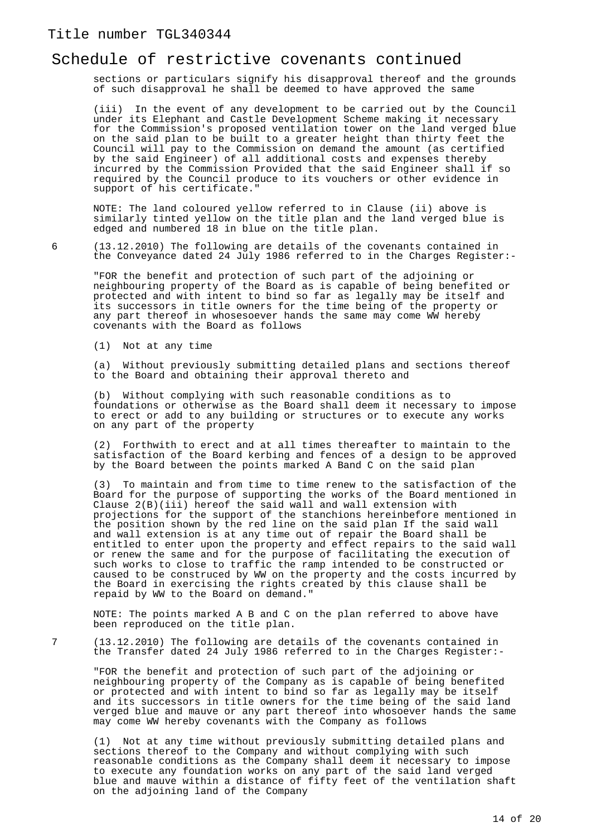#### Schedule of restrictive covenants continued

sections or particulars signify his disapproval thereof and the grounds of such disapproval he shall be deemed to have approved the same

(iii) In the event of any development to be carried out by the Council under its Elephant and Castle Development Scheme making it necessary for the Commission's proposed ventilation tower on the land verged blue on the said plan to be built to a greater height than thirty feet the Council will pay to the Commission on demand the amount (as certified by the said Engineer) of all additional costs and expenses thereby incurred by the Commission Provided that the said Engineer shall if so required by the Council produce to its vouchers or other evidence in support of his certificate."

NOTE: The land coloured yellow referred to in Clause (ii) above is similarly tinted yellow on the title plan and the land verged blue is edged and numbered 18 in blue on the title plan.

6 (13.12.2010) The following are details of the covenants contained in the Conveyance dated 24 July 1986 referred to in the Charges Register:-

"FOR the benefit and protection of such part of the adjoining or neighbouring property of the Board as is capable of being benefited or protected and with intent to bind so far as legally may be itself and its successors in title owners for the time being of the property or any part thereof in whosesoever hands the same may come WW hereby covenants with the Board as follows

(1) Not at any time

(a) Without previously submitting detailed plans and sections thereof to the Board and obtaining their approval thereto and

(b) Without complying with such reasonable conditions as to foundations or otherwise as the Board shall deem it necessary to impose to erect or add to any building or structures or to execute any works on any part of the property

(2) Forthwith to erect and at all times thereafter to maintain to the satisfaction of the Board kerbing and fences of a design to be approved by the Board between the points marked A Band C on the said plan

(3) To maintain and from time to time renew to the satisfaction of the Board for the purpose of supporting the works of the Board mentioned in Clause 2(B)(iii) hereof the said wall and wall extension with projections for the support of the stanchions hereinbefore mentioned in the position shown by the red line on the said plan If the said wall and wall extension is at any time out of repair the Board shall be entitled to enter upon the property and effect repairs to the said wall or renew the same and for the purpose of facilitating the execution of such works to close to traffic the ramp intended to be constructed or caused to be construced by WW on the property and the costs incurred by the Board in exercising the rights created by this clause shall be repaid by WW to the Board on demand."

NOTE: The points marked A B and C on the plan referred to above have been reproduced on the title plan.

7 (13.12.2010) The following are details of the covenants contained in the Transfer dated 24 July 1986 referred to in the Charges Register:-

"FOR the benefit and protection of such part of the adjoining or neighbouring property of the Company as is capable of being benefited or protected and with intent to bind so far as legally may be itself and its successors in title owners for the time being of the said land verged blue and mauve or any part thereof into whosoever hands the same may come WW hereby covenants with the Company as follows

(1) Not at any time without previously submitting detailed plans and sections thereof to the Company and without complying with such reasonable conditions as the Company shall deem it necessary to impose to execute any foundation works on any part of the said land verged blue and mauve within a distance of fifty feet of the ventilation shaft on the adjoining land of the Company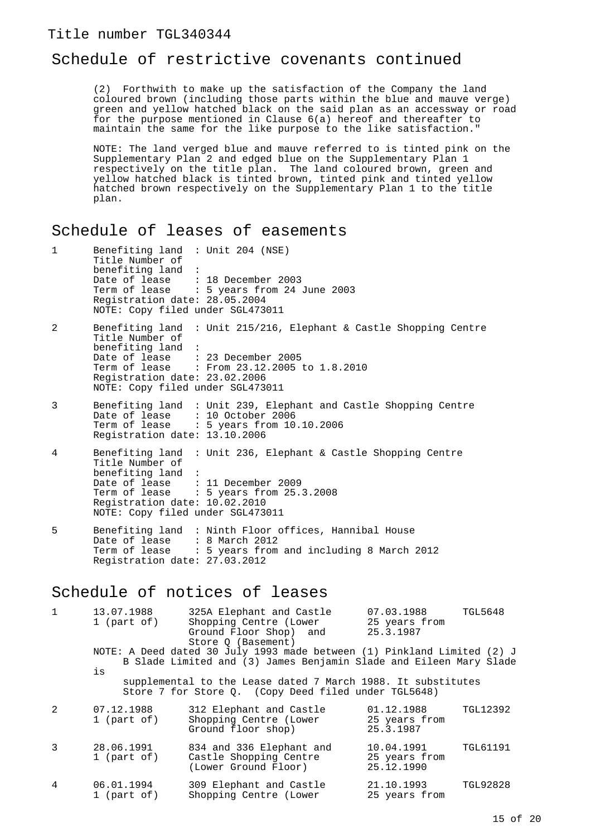### Schedule of restrictive covenants continued

(2) Forthwith to make up the satisfaction of the Company the land coloured brown (including those parts within the blue and mauve verge) green and yellow hatched black on the said plan as an accessway or road for the purpose mentioned in Clause 6(a) hereof and thereafter to maintain the same for the like purpose to the like satisfaction."

NOTE: The land verged blue and mauve referred to is tinted pink on the Supplementary Plan 2 and edged blue on the Supplementary Plan 1 respectively on the title plan. The land coloured brown, green and yellow hatched black is tinted brown, tinted pink and tinted yellow hatched brown respectively on the Supplementary Plan 1 to the title plan.

### Schedule of leases of easements

| $\mathbf{1}$ | Benefiting $land$ : Unit 204 (NSE)<br>Title Number of<br>benefiting land<br>$\sim$ 1.1<br>Date of lease : 18 December 2003<br>Registration date: 28.05.2004<br>NOTE: Copy filed under SGL473011 | Term of lease : 5 years from 24 June 2003                                                                             |
|--------------|-------------------------------------------------------------------------------------------------------------------------------------------------------------------------------------------------|-----------------------------------------------------------------------------------------------------------------------|
| 2            | Title Number of<br>benefiting land :<br>Date of lease : 23 December 2005<br>Registration date: 23.02.2006<br>NOTE: Copy filed under SGL473011                                                   | Benefiting land : Unit 215/216, Elephant & Castle Shopping Centre<br>Term of lease : From 23.12.2005 to 1.8.2010      |
| 3            | Date of lease : 10 October 2006<br>Registration date: 13.10.2006                                                                                                                                | Benefiting land : Unit 239, Elephant and Castle Shopping Centre<br>Term of lease $\therefore$ 5 years from 10.10.2006 |
| 4            | Title Number of<br>benefiting land :<br>Date of lease $\therefore$ 11 December 2009<br>Registration date: 10.02.2010<br>NOTE: Copy filed under SGL473011                                        | Benefiting land : Unit 236, Elephant & Castle Shopping Centre<br>Term of lease : 5 years from 25.3.2008               |
| 5            | Date of lease : 8 March 2012<br>Registration date: 27.03.2012                                                                                                                                   | Benefiting land : Ninth Floor offices, Hannibal House<br>Term of lease : 5 years from and including 8 March 2012      |
|              |                                                                                                                                                                                                 |                                                                                                                       |

### Schedule of notices of leases

| $\mathbf{1}$ | 13.07.1988<br>1 (part of) | 325A Elephant and Castle<br>Shopping Centre (Lower<br>Ground Floor Shop) and<br>Store Q (Basement)                                                                                                            | 07.03.1988<br>25 years from<br>25.3.1987  | <b>TGL5648</b>  |
|--------------|---------------------------|---------------------------------------------------------------------------------------------------------------------------------------------------------------------------------------------------------------|-------------------------------------------|-----------------|
|              | is                        | NOTE: A Deed dated 30 July 1993 made between (1) Pinkland Limited (2) J<br>B Slade Limited and (3) James Benjamin Slade and Eileen Mary Slade<br>supplemental to the Lease dated 7 March 1988. It substitutes |                                           |                 |
|              |                           | Store 7 for Store Q. (Copy Deed filed under TGL5648)                                                                                                                                                          |                                           |                 |
| 2            | 07.12.1988<br>1 (part of) | 312 Elephant and Castle<br>Shopping Centre (Lower<br>Ground floor shop)                                                                                                                                       | 01.12.1988<br>25 years from<br>25.3.1987  | TGL12392        |
| 3            | 28.06.1991<br>1 (part of) | 834 and 336 Elephant and<br>Castle Shopping Centre<br>(Lower Ground Floor)                                                                                                                                    | 10.04.1991<br>25 years from<br>25.12.1990 | <b>TGL61191</b> |
| 4            | 06.01.1994<br>1 (part of) | 309 Elephant and Castle<br>Shopping Centre (Lower                                                                                                                                                             | 21.10.1993<br>25 years from               | <b>TGL92828</b> |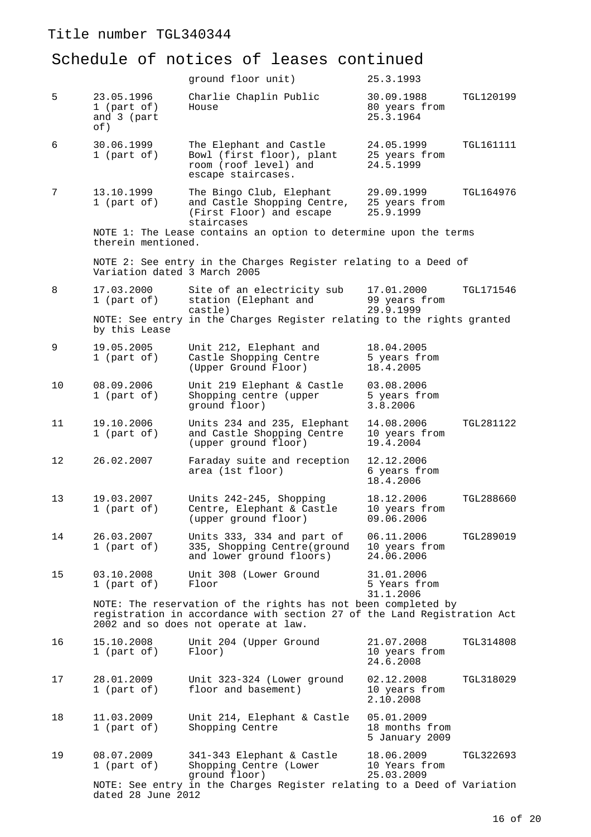|    |                                                 | ground floor unit)                                                                                                                                                               | 25.3.1993                                      |                  |
|----|-------------------------------------------------|----------------------------------------------------------------------------------------------------------------------------------------------------------------------------------|------------------------------------------------|------------------|
| 5  | 23.05.1996<br>1 (part of)<br>and 3 (part<br>of) | Charlie Chaplin Public<br>House                                                                                                                                                  | 30.09.1988<br>80 years from<br>25.3.1964       | TGL120199        |
| 6  | 30.06.1999<br>1 (part of)                       | The Elephant and Castle<br>Bowl (first floor), plant<br>room (roof level) and<br>escape staircases.                                                                              | 24.05.1999<br>25 years from<br>24.5.1999       | TGL161111        |
| 7  | 13.10.1999<br>1 (part of)                       | The Bingo Club, Elephant<br>and Castle Shopping Centre,<br>(First Floor) and escape<br>staircases                                                                                | 29.09.1999<br>25 years from<br>25.9.1999       | TGL164976        |
|    | therein mentioned.                              | NOTE 1: The Lease contains an option to determine upon the terms                                                                                                                 |                                                |                  |
|    | Variation dated 3 March 2005                    | NOTE 2: See entry in the Charges Register relating to a Deed of                                                                                                                  |                                                |                  |
| 8  | 17.03.2000<br>1 (part of)                       | Site of an electricity sub<br>station (Elephant and<br>castle)                                                                                                                   | 17.01.2000<br>99 years from<br>29.9.1999       | <b>TGL171546</b> |
|    | by this Lease                                   | NOTE: See entry in the Charges Register relating to the rights granted                                                                                                           |                                                |                  |
| 9  | 19.05.2005<br>1 (part of)                       | Unit 212, Elephant and<br>Castle Shopping Centre<br>(Upper Ground Floor)                                                                                                         | 18.04.2005<br>5 years from<br>18.4.2005        |                  |
| 10 | 08.09.2006<br>1 (part of)                       | Unit 219 Elephant & Castle<br>Shopping centre (upper<br>ground floor)                                                                                                            | 03.08.2006<br>5 years from<br>3.8.2006         |                  |
| 11 | 19.10.2006<br>1 (part of)                       | Units 234 and 235, Elephant<br>and Castle Shopping Centre<br>(upper ground floor)                                                                                                | 14.08.2006<br>10 years from<br>19.4.2004       | <b>TGL281122</b> |
| 12 | 26.02.2007                                      | Faraday suite and reception<br>area (1st floor)                                                                                                                                  | 12.12.2006<br>6 years from<br>18.4.2006        |                  |
| 13 | 19.03.2007<br>$1$ (part of)                     | Units 242-245, Shopping<br>Centre, Elephant & Castle<br>(upper ground floor)                                                                                                     | 18.12.2006<br>10 years from<br>09.06.2006      | TGL288660        |
| 14 | 26.03.2007<br>1 (part of)                       | Units 333, 334 and part of<br>335, Shopping Centre(ground<br>and lower ground floors)                                                                                            | 06.11.2006<br>10 years from<br>24.06.2006      | TGL289019        |
| 15 | 03.10.2008<br>1 (part of)                       | Unit 308 (Lower Ground<br>Floor                                                                                                                                                  | 31.01.2006<br>5 Years from<br>31.1.2006        |                  |
|    |                                                 | NOTE: The reservation of the rights has not been completed by<br>registration in accordance with section 27 of the Land Registration Act<br>2002 and so does not operate at law. |                                                |                  |
| 16 | 15.10.2008<br>1 (part of)                       | Unit 204 (Upper Ground<br>Floor)                                                                                                                                                 | 21.07.2008<br>10 years from<br>24.6.2008       | TGL314808        |
| 17 | 28.01.2009<br>1 (part of)                       | Unit 323-324 (Lower ground<br>floor and basement)                                                                                                                                | 02.12.2008<br>10 years from<br>2.10.2008       | TGL318029        |
| 18 | 11.03.2009<br>1 (part of)                       | Unit 214, Elephant & Castle<br>Shopping Centre                                                                                                                                   | 05.01.2009<br>18 months from<br>5 January 2009 |                  |
| 19 | 08.07.2009<br>1 (part of)                       | 341-343 Elephant & Castle<br>Shopping Centre (Lower<br>ground floor)                                                                                                             | 18.06.2009<br>10 Years from<br>25.03.2009      | TGL322693        |
|    | dated 28 June 2012                              | NOTE: See entry in the Charges Register relating to a Deed of Variation                                                                                                          |                                                |                  |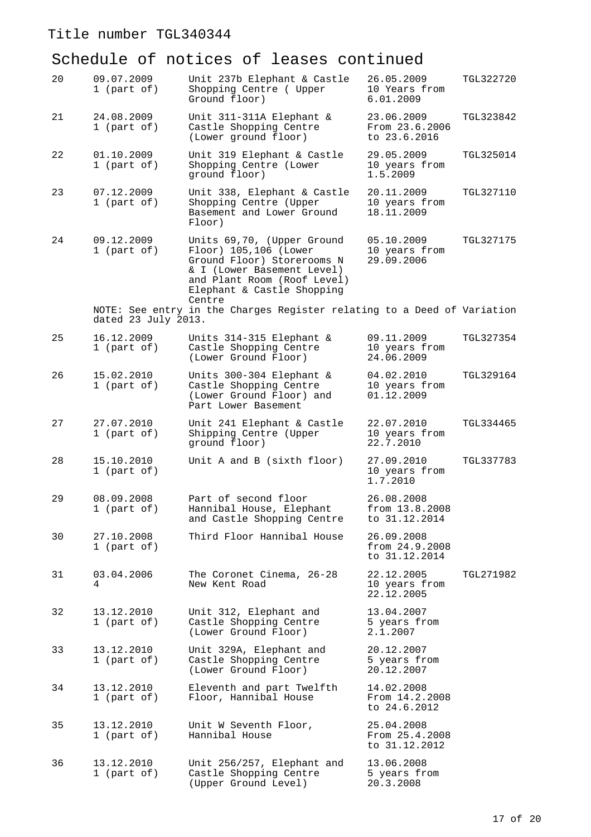| 20 | 09.07.2009<br>1 (part of) | Unit 237b Elephant & Castle<br>Shopping Centre ( Upper<br>Ground floor)                                                                                                                | 26.05.2009<br>10 Years from<br>6.01.2009      | TGL322720 |
|----|---------------------------|----------------------------------------------------------------------------------------------------------------------------------------------------------------------------------------|-----------------------------------------------|-----------|
| 21 | 24.08.2009<br>1 (part of) | Unit 311-311A Elephant &<br>Castle Shopping Centre<br>(Lower ground floor)                                                                                                             | 23.06.2009<br>From 23.6.2006<br>to 23.6.2016  | TGL323842 |
| 22 | 01.10.2009<br>1 (part of) | Unit 319 Elephant & Castle<br>Shopping Centre (Lower<br>ground floor)                                                                                                                  | 29.05.2009<br>10 years from<br>1.5.2009       | TGL325014 |
| 23 | 07.12.2009<br>1 (part of) | Unit 338, Elephant & Castle<br>Shopping Centre (Upper<br>Basement and Lower Ground<br>Floor)                                                                                           | 20.11.2009<br>10 years from<br>18.11.2009     | TGL327110 |
| 24 | 09.12.2009<br>1 (part of) | Units 69,70, (Upper Ground<br>Floor) 105,106 (Lower<br>Ground Floor) Storerooms N<br>& I (Lower Basement Level)<br>and Plant Room (Roof Level)<br>Elephant & Castle Shopping<br>Centre | 05.10.2009<br>10 years from<br>29.09.2006     | TGL327175 |
|    | dated 23 July 2013.       | NOTE: See entry in the Charges Register relating to a Deed of Variation                                                                                                                |                                               |           |
| 25 | 16.12.2009<br>1 (part of) | Units 314-315 Elephant &<br>Castle Shopping Centre<br>(Lower Ground Floor)                                                                                                             | 09.11.2009<br>10 years from<br>24.06.2009     | TGL327354 |
| 26 | 15.02.2010<br>1 (part of) | Units 300-304 Elephant &<br>Castle Shopping Centre<br>(Lower Ground Floor) and<br>Part Lower Basement                                                                                  | 04.02.2010<br>10 years from<br>01.12.2009     | TGL329164 |
| 27 | 27.07.2010<br>1 (part of) | Unit 241 Elephant & Castle<br>Shipping Centre (Upper<br>ground floor)                                                                                                                  | 22.07.2010<br>10 years from<br>22.7.2010      | TGL334465 |
| 28 | 15.10.2010<br>1 (part of) | Unit A and B (sixth floor)                                                                                                                                                             | 27.09.2010<br>10 years from<br>1.7.2010       | TGL337783 |
| 29 | 08.09.2008<br>1 (part of) | Part of second floor<br>Hannibal House, Elephant<br>and Castle Shopping Centre                                                                                                         | 26.08.2008<br>from 13.8.2008<br>to 31.12.2014 |           |
| 30 | 27.10.2008<br>1 (part of) | Third Floor Hannibal House                                                                                                                                                             | 26.09.2008<br>from 24.9.2008<br>to 31.12.2014 |           |
| 31 | 03.04.2006<br>4           | The Coronet Cinema, 26-28<br>New Kent Road                                                                                                                                             | 22.12.2005<br>10 years from<br>22.12.2005     | TGL271982 |
| 32 | 13.12.2010<br>1 (part of) | Unit 312, Elephant and<br>Castle Shopping Centre<br>(Lower Ground Floor)                                                                                                               | 13.04.2007<br>5 years from<br>2.1.2007        |           |
| 33 | 13.12.2010<br>1 (part of) | Unit 329A, Elephant and<br>Castle Shopping Centre<br>(Lower Ground Floor)                                                                                                              | 20.12.2007<br>5 years from<br>20.12.2007      |           |
| 34 | 13.12.2010<br>1 (part of) | Eleventh and part Twelfth<br>Floor, Hannibal House                                                                                                                                     | 14.02.2008<br>From 14.2.2008<br>to 24.6.2012  |           |
| 35 | 13.12.2010<br>1 (part of) | Unit W Seventh Floor,<br>Hannibal House                                                                                                                                                | 25.04.2008<br>From 25.4.2008<br>to 31.12.2012 |           |
| 36 | 13.12.2010<br>1 (part of) | Unit 256/257, Elephant and<br>Castle Shopping Centre<br>(Upper Ground Level)                                                                                                           | 13.06.2008<br>5 years from<br>20.3.2008       |           |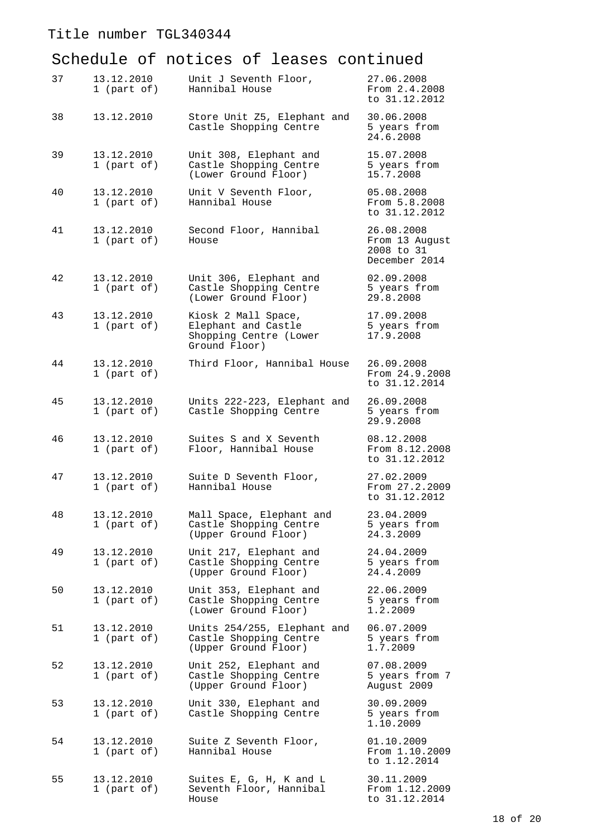| 37 | 13.12.2010<br>1 (part of) | Unit J Seventh Floor,<br>Hannibal House                                               | 27.06.2008<br>From 2.4.2008<br>to 31.12.2012                |
|----|---------------------------|---------------------------------------------------------------------------------------|-------------------------------------------------------------|
| 38 | 13.12.2010                | Store Unit Z5, Elephant and<br>Castle Shopping Centre                                 | 30.06.2008<br>5 years from<br>24.6.2008                     |
| 39 | 13.12.2010<br>1 (part of) | Unit 308, Elephant and<br>Castle Shopping Centre<br>(Lower Ground Floor)              | 15.07.2008<br>5 years from<br>15.7.2008                     |
| 40 | 13.12.2010<br>1 (part of) | Unit V Seventh Floor,<br>Hannibal House                                               | 05.08.2008<br>From 5.8.2008<br>to 31.12.2012                |
| 41 | 13.12.2010<br>1 (part of) | Second Floor, Hannibal<br>House                                                       | 26.08.2008<br>From 13 August<br>2008 to 31<br>December 2014 |
| 42 | 13.12.2010<br>1 (part of) | Unit 306, Elephant and<br>Castle Shopping Centre<br>(Lower Ground Floor)              | 02.09.2008<br>5 years from<br>29.8.2008                     |
| 43 | 13.12.2010<br>1 (part of) | Kiosk 2 Mall Space,<br>Elephant and Castle<br>Shopping Centre (Lower<br>Ground Floor) | 17.09.2008<br>5 years from<br>17.9.2008                     |
| 44 | 13.12.2010<br>1 (part of) | Third Floor, Hannibal House                                                           | 26.09.2008<br>From 24.9.2008<br>to 31.12.2014               |
| 45 | 13.12.2010<br>1 (part of) | Units 222-223, Elephant and<br>Castle Shopping Centre                                 | 26.09.2008<br>5 years from<br>29.9.2008                     |
| 46 | 13.12.2010<br>1 (part of) | Suites S and X Seventh<br>Floor, Hannibal House                                       | 08.12.2008<br>From 8.12.2008<br>to 31.12.2012               |
| 47 | 13.12.2010<br>1 (part of) | Suite D Seventh Floor,<br>Hannibal House                                              | 27.02.2009<br>From 27.2.2009<br>to 31.12.2012               |
| 48 | 13.12.2010<br>1 (part of) | Mall Space, Elephant and<br>Castle Shopping Centre<br>(Upper Ground Floor)            | 23.04.2009<br>5 years from<br>24.3.2009                     |
| 49 | 13.12.2010<br>1 (part of) | Unit 217, Elephant and<br>Castle Shopping Centre<br>(Upper Ground Floor)              | 24.04.2009<br>5 years from<br>24.4.2009                     |
| 50 | 13.12.2010<br>1 (part of) | Unit 353, Elephant and<br>Castle Shopping Centre<br>(Lower Ground Floor)              | 22.06.2009<br>5 years from<br>1.2.2009                      |
| 51 | 13.12.2010<br>1 (part of) | Units 254/255, Elephant and<br>Castle Shopping Centre<br>(Upper Ground Floor)         | 06.07.2009<br>5 years from<br>1.7.2009                      |
| 52 | 13.12.2010<br>1 (part of) | Unit 252, Elephant and<br>Castle Shopping Centre<br>(Upper Ground Floor)              | 07.08.2009<br>5 years from 7<br>August 2009                 |
| 53 | 13.12.2010<br>1 (part of) | Unit 330, Elephant and<br>Castle Shopping Centre                                      | 30.09.2009<br>5 years from<br>1.10.2009                     |
| 54 | 13.12.2010<br>1 (part of) | Suite Z Seventh Floor,<br>Hannibal House                                              | 01.10.2009<br>From 1.10.2009<br>to 1.12.2014                |
| 55 | 13.12.2010<br>1 (part of) | Suites E, G, H, K and L<br>Seventh Floor, Hannibal<br>House                           | 30.11.2009<br>From 1.12.2009<br>to 31.12.2014               |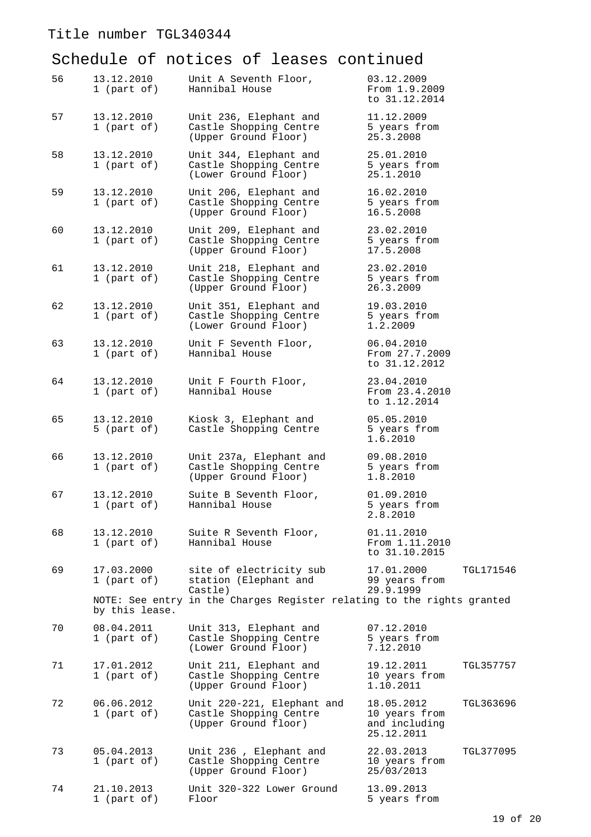| 56 | 13.12.2010<br>1 (part of) | Unit A Seventh Floor,<br>Hannibal House                                      | 03.12.2009<br>From 1.9.2009<br>to 31.12.2014                            |
|----|---------------------------|------------------------------------------------------------------------------|-------------------------------------------------------------------------|
| 57 | 13.12.2010<br>1 (part of) | Unit 236, Elephant and<br>Castle Shopping Centre<br>(Upper Ground Floor)     | 11.12.2009<br>5 years from<br>25.3.2008                                 |
| 58 | 13.12.2010<br>1 (part of) | Unit 344, Elephant and<br>Castle Shopping Centre<br>(Lower Ground Floor)     | 25.01.2010<br>5 years from<br>25.1.2010                                 |
| 59 | 13.12.2010<br>1 (part of) | Unit 206, Elephant and<br>Castle Shopping Centre<br>(Upper Ground Floor)     | 16.02.2010<br>5 years from<br>16.5.2008                                 |
| 60 | 13.12.2010<br>1 (part of) | Unit 209, Elephant and<br>Castle Shopping Centre<br>(Upper Ground Floor)     | 23.02.2010<br>5 years from<br>17.5.2008                                 |
| 61 | 13.12.2010<br>1 (part of) | Unit 218, Elephant and<br>Castle Shopping Centre<br>(Upper Ground Floor)     | 23.02.2010<br>5 years from<br>26.3.2009                                 |
| 62 | 13.12.2010<br>1 (part of) | Unit 351, Elephant and<br>Castle Shopping Centre<br>(Lower Ground Floor)     | 19.03.2010<br>5 years from<br>1.2.2009                                  |
| 63 | 13.12.2010<br>1 (part of) | Unit F Seventh Floor,<br>Hannibal House                                      | 06.04.2010<br>From 27.7.2009<br>to 31.12.2012                           |
| 64 | 13.12.2010<br>1 (part of) | Unit F Fourth Floor,<br>Hannibal House                                       | 23.04.2010<br>From 23.4.2010<br>to 1.12.2014                            |
| 65 | 13.12.2010<br>5 (part of) | Kiosk 3, Elephant and<br>Castle Shopping Centre                              | 05.05.2010<br>5 years from<br>1.6.2010                                  |
| 66 | 13.12.2010<br>1 (part of) | Unit 237a, Elephant and<br>Castle Shopping Centre<br>(Upper Ground Floor)    | 09.08.2010<br>5 years from<br>1.8.2010                                  |
| 67 | 13.12.2010<br>1 (part of) | Suite B Seventh Floor,<br>Hannibal House                                     | 01.09.2010<br>5 years from<br>2.8.2010                                  |
| 68 | 13.12.2010<br>1 (part of) | Suite R Seventh Floor,<br>Hannibal House                                     | 01.11.2010<br>From 1.11.2010<br>to 31.10.2015                           |
| 69 | 17.03.2000<br>1 (part of) | site of electricity sub<br>station (Elephant and<br>Castle)                  | 17.01.2000<br><b>TGL171546</b><br>99 years from<br>29.9.1999            |
|    | by this lease.            | NOTE: See entry in the Charges Register relating to the rights granted       |                                                                         |
| 70 | 08.04.2011<br>1 (part of) | Unit 313, Elephant and<br>Castle Shopping Centre<br>(Lower Ground Floor)     | 07.12.2010<br>5 years from<br>7.12.2010                                 |
| 71 | 17.01.2012<br>1 (part of) | Unit 211, Elephant and<br>Castle Shopping Centre<br>(Upper Ground Floor)     | 19.12.2011<br>TGL357757<br>10 years from<br>1.10.2011                   |
| 72 | 06.06.2012<br>1 (part of) | Unit 220-221, Elephant and<br>Castle Shopping Centre<br>(Upper Ground floor) | 18.05.2012<br>TGL363696<br>10 years from<br>and including<br>25.12.2011 |
| 73 | 05.04.2013<br>1 (part of) | Unit 236, Elephant and<br>Castle Shopping Centre<br>(Upper Ground Floor)     | 22.03.2013<br>TGL377095<br>10 years from<br>25/03/2013                  |
| 74 | 21.10.2013<br>1 (part of) | Unit 320-322 Lower Ground<br>Floor                                           | 13.09.2013<br>5 years from                                              |